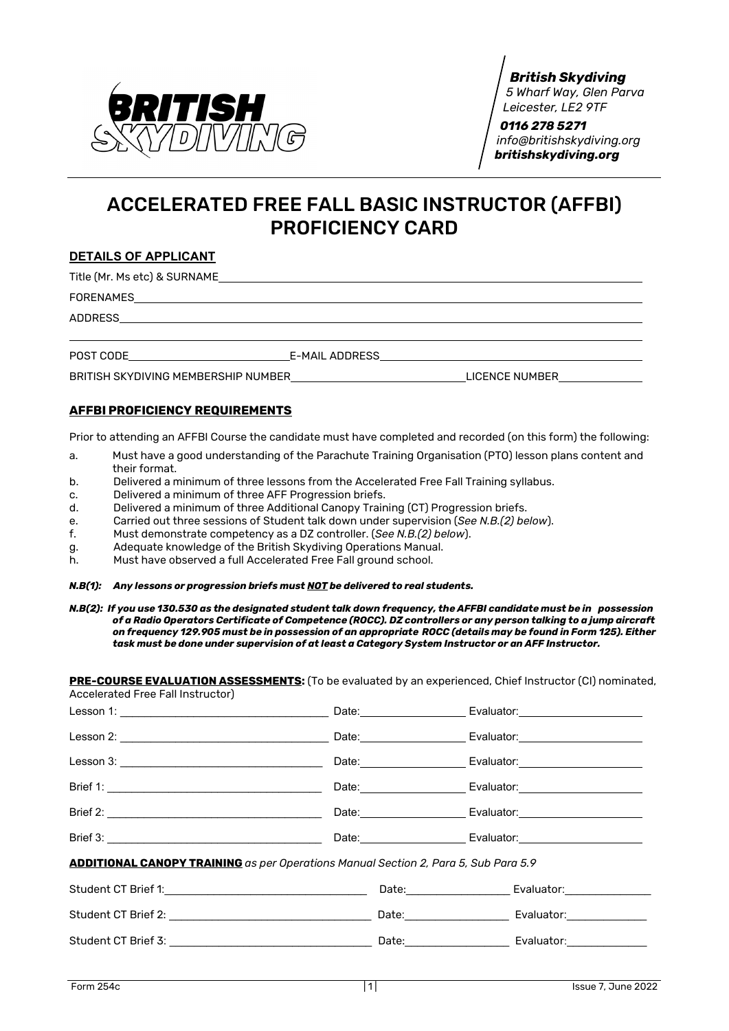

*British Skydiving 5 Wharf Way, Glen Parva Leicester, LE2 9TF*

 *0116 278 5271 [info@britishskydiving.org](mailto:info@britishskydiving.org) britishskydiving.org*

# ACCELERATED FREE FALL BASIC INSTRUCTOR (AFFBI) PROFICIENCY CARD

#### **DETAILS OF APPLICANT**

Title (Mr. Ms etc) & SURNAME

FORENAMES

ADDRESS

POST CODE E-MAIL ADDRESS

BRITISH SKYDIVING MEMBERSHIP NUMBER LICENCE NUMBER

### **AFFBI PROFICIENCY REQUIREMENTS**

Prior to attending an AFFBI Course the candidate must have completed and recorded (on this form) the following:

- a. Must have a good understanding of the Parachute Training Organisation (PTO) lesson plans content and their format.
- b. Delivered a minimum of three lessons from the Accelerated Free Fall Training syllabus.
- c. Delivered a minimum of three AFF Progression briefs.
- d. Delivered a minimum of three Additional Canopy Training (CT) Progression briefs.
- e. Carried out three sessions of Student talk down under supervision (*See N.B.(2) below*).
- f. Must demonstrate competency as a DZ controller. (*See N.B.(2) below*).
- g. Adequate knowledge of the British Skydiving Operations Manual.
- h. Must have observed a full Accelerated Free Fall ground school.

#### *N.B(1): Any lessons or progression briefs must NOT be delivered to real students.*

*N.B(2): If you use 130.530 as the designated student talk down frequency, the AFFBI candidate must be in possession of a Radio Operators Certificate of Competence (ROCC). DZ controllers or any person talking to a jump aircraft on frequency 129.905 must be in possession of an appropriate ROCC (details may be found in Form 125). Either task must be done under supervision of at least a Category System Instructor or an AFF Instructor.*

**PRE-COURSE EVALUATION ASSESSMENTS:** (To be evaluated by an experienced, Chief Instructor (CI) nominated, Accelerated Free Fall Instructor)

|                                                                                                                |  | Date: Date: Date: Date: Date: Date: Date: Date: Date: Date: Date: Date: Date: Date: Date: Date: Date: Date: D |  |  |
|----------------------------------------------------------------------------------------------------------------|--|---------------------------------------------------------------------------------------------------------------|--|--|
|                                                                                                                |  | Date: Evaluator: Evaluator:                                                                                   |  |  |
|                                                                                                                |  | Date: Evaluator: Evaluator:                                                                                   |  |  |
|                                                                                                                |  | Date: Evaluator: Evaluator:                                                                                   |  |  |
|                                                                                                                |  | Date: Evaluator: Evaluator:                                                                                   |  |  |
| <b>ADDITIONAL CANOPY TRAINING</b> as per Operations Manual Section 2, Para 5, Sub Para 5.9                     |  |                                                                                                               |  |  |
|                                                                                                                |  | Date: Evaluator: Evaluator:                                                                                   |  |  |
|                                                                                                                |  | Date: Evaluator: Evaluator:                                                                                   |  |  |
| Student CT Brief 3: No. 2014 19:30 Date: No. 2014 19:30 Date: No. 2014 19:30 Date: No. 2014 19:30 Date: No. 20 |  |                                                                                                               |  |  |